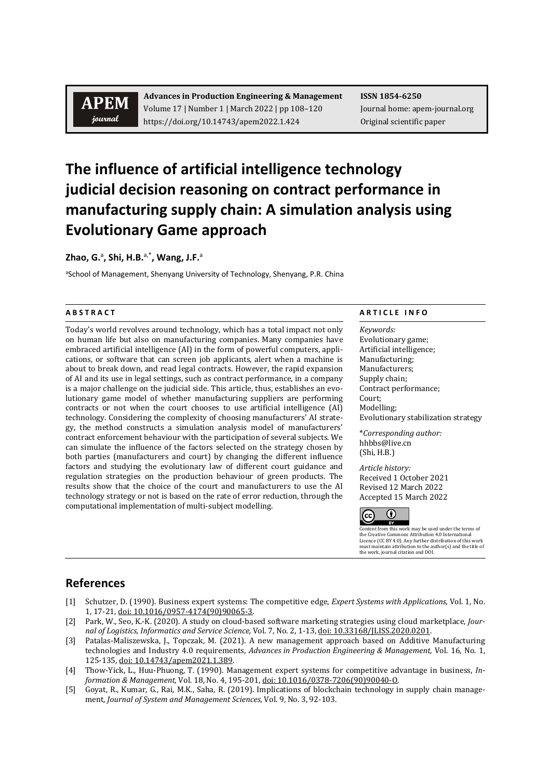## **APEM** journal

**Advances in Production Engineering & Management ISSN 1854-6250** Volume 17 | Number 1 | March 2022 | pp 108–120 Journal home: apem-journal.org https://doi.org/10.14743/apem2022.1.424 Original scientific paper

# **The influence of artificial intelligence technology judicial decision reasoning on contract performance in manufacturing supply chain: A simulation analysis using Evolutionary Game approach**

**Zhao, G.**<sup>a</sup> **, Shi, H.B.** a,\***, Wang, J.F.**<sup>a</sup>

aSchool of Management, Shenyang University of Technology, Shenyang, P.R. China

Today's world revolves around technology, which has a total impact not only on human life but also on manufacturing companies. Many companies have embraced artificial intelligence (AI) in the form of powerful computers, applications, or software that can screen job applicants, alert when a machine is about to break down, and read legal contracts. However, the rapid expansion of AI and its use in legal settings, such as contract performance, in a company is a major challenge on the judicial side. This article, thus, establishes an evolutionary game model of whether manufacturing suppliers are performing contracts or not when the court chooses to use artificial intelligence (AI) technology. Considering the complexity of choosing manufacturers' AI strategy, the method constructs a simulation analysis model of manufacturers' contract enforcement behaviour with the participation of several subjects. We can simulate the influence of the factors selected on the strategy chosen by both parties (manufacturers and court) by changing the different influence factors and studying the evolutionary law of different court guidance and regulation strategies on the production behaviour of green products. The results show that the choice of the court and manufacturers to use the AI technology strategy or not is based on the rate of error reduction, through the computational implementation of multi-subject modelling.

### **A B S T R A C T A R T I C L E I N F O**

*Keywords:* Evolutionary game; Artificial intelligence; Manufacturing; Manufacturers; Supply chain; Contract performance; Court; Modelling; Evolutionary stabilization strategy

\**Corresponding author:*  hhbbs@live.cn (Shi, H.B.)

*Article history:* Received 1 October 2021 Revised 12 March 2022 Accepted 15 March 2022



Content from this work may be used under the terms of<br>the Creative Commons Attribution 4.0 International the Creative Commons Attribution 4.0 International Licence (CC BY 4.0). Any further distribution of this work must maintain attribution to the author(s) and the title of the work, journal citation and DOI.

### **References**

- [1] Schutzer, D. (1990). Business expert systems: The competitive edge, *Expert Systems with Applications,* Vol. 1, No. 1, 17-21, [doi: 10.1016/0957-4174\(90\)90065-3.](https://doi.org/10.1016/0957-4174(90)90065-3)
- [2] Park, W., Seo, K.-K. (2020). A study on cloud-based software marketing strategies using cloud marketplace, *Journal of Logistics, Informatics and Service Science,* Vol. 7, No. 2, 1-13[, doi: 10.33168/JLISS.2020.0201.](https://doi.org/10.33168/JLISS.2020.0201)
- [3] Patalas-Maliszewska, J., Topczak, M. (2021). A new management approach based on Additive Manufacturing technologies and Industry 4.0 requirements, *Advances in Production Engineering & Management,* Vol. 16, No. 1, 125-135, [doi: 10.14743/apem2021.1.389.](https://doi.org/10.14743/apem2021.1.389)
- [4] Thow-Yick, L., Huu-Phuong, T. (1990). Management expert systems for competitive advantage in business, *Information & Management,* Vol. 18, No. 4, 195-201[, doi: 10.1016/0378-7206\(90\)90040-O.](https://doi.org/10.1016/0378-7206(90)90040-O)
- [5] Goyat, R., Kumar, G., Rai, M.K., Saha, R. (2019). Implications of blockchain technology in supply chain management, *Journal of System and Management Sciences,* Vol. 9, No. 3, 92-103.